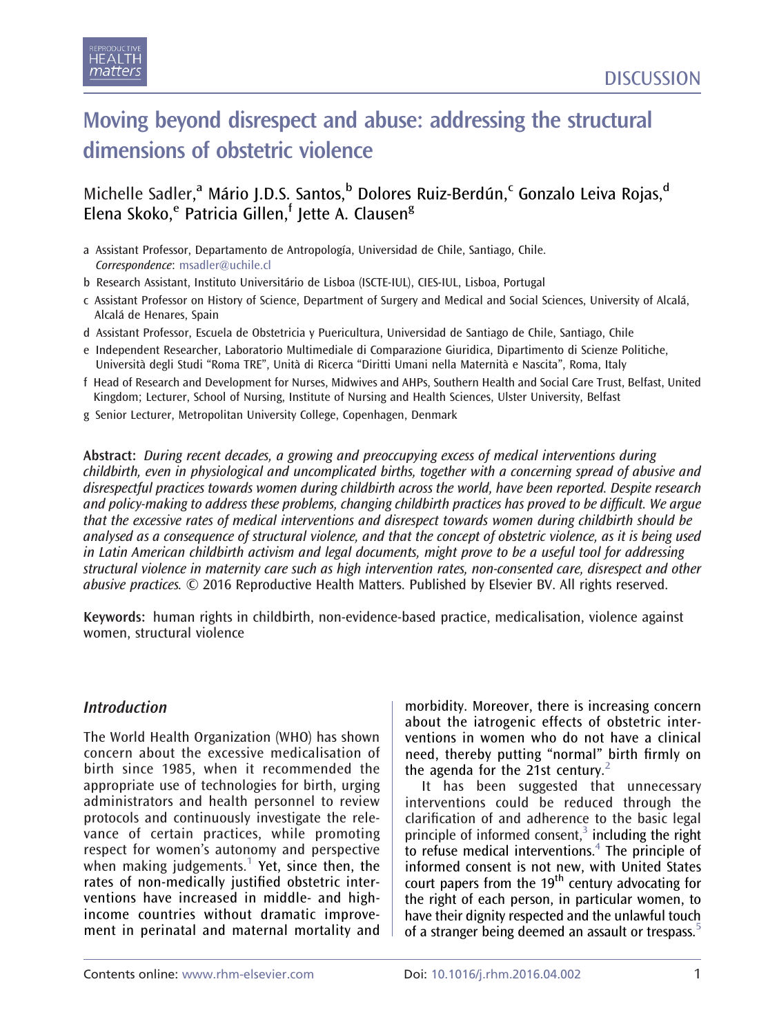



# Moving beyond disrespect and abuse: addressing the structural dimensions of obstetric violence

Michelle Sadler,<sup>a</sup> Mário J.D.S. Santos,<sup>b</sup> Dolores Ruiz-Berdún,<sup>c</sup> Gonzalo Leiva Rojas,<sup>d</sup> Elena Skoko, e Patricia Gillen, <sup>f</sup> Jette A. Clausen<sup>g</sup>

- a Assistant Professor, Departamento de Antropología, Universidad de Chile, Santiago, Chile. Correspondence: [msadler@uchile.cl](mailto:msadler@uchile.cl)
- b Research Assistant, Instituto Universitário de Lisboa (ISCTE-IUL), CIES-IUL, Lisboa, Portugal
- c Assistant Professor on History of Science, Department of Surgery and Medical and Social Sciences, University of Alcalá, Alcalá de Henares, Spain
- d Assistant Professor, Escuela de Obstetricia y Puericultura, Universidad de Santiago de Chile, Santiago, Chile
- e Independent Researcher, Laboratorio Multimediale di Comparazione Giuridica, Dipartimento di Scienze Politiche, Università degli Studi "Roma TRE", Unità di Ricerca "Diritti Umani nella Maternità e Nascita", Roma, Italy
- f Head of Research and Development for Nurses, Midwives and AHPs, Southern Health and Social Care Trust, Belfast, United Kingdom; Lecturer, School of Nursing, Institute of Nursing and Health Sciences, Ulster University, Belfast
- g Senior Lecturer, Metropolitan University College, Copenhagen, Denmark

Abstract: During recent decades, a growing and preoccupying excess of medical interventions during childbirth, even in physiological and uncomplicated births, together with a concerning spread of abusive and disrespectful practices towards women during childbirth across the world, have been reported. Despite research and policy-making to address these problems, changing childbirth practices has proved to be difficult. We argue that the excessive rates of medical interventions and disrespect towards women during childbirth should be analysed as a consequence of structural violence, and that the concept of obstetric violence, as it is being used in Latin American childbirth activism and legal documents, might prove to be a useful tool for addressing structural violence in maternity care such as high intervention rates, non-consented care, disrespect and other abusive practices. © 2016 Reproductive Health Matters. Published by Elsevier BV. All rights reserved.

Keywords: human rights in childbirth, non-evidence-based practice, medicalisation, violence against women, structural violence

#### **Introduction**

The World Health Organization (WHO) has shown concern about the excessive medicalisation of birth since 1985, when it recommended the appropriate use of technologies for birth, urging administrators and health personnel to review protocols and continuously investigate the relevance of certain practices, while promoting respect for women's autonomy and perspective when making judgements.<sup>[1](#page-6-0)</sup> Yet, since then, the rates of non-medically justified obstetric interventions have increased in middle- and highincome countries without dramatic improvement in perinatal and maternal mortality and

morbidity. Moreover, there is increasing concern about the iatrogenic effects of obstetric interventions in women who do not have a clinical need, thereby putting "normal" birth firmly on the agenda for the [2](#page-6-0)1st century.<sup>2</sup>

It has been suggested that unnecessary interventions could be reduced through the clarification of and adherence to the basic legal principle of informed consent,<sup>[3](#page-6-0)</sup> including the right to refuse medical interventions.<sup>4</sup> The principle of informed consent is not new, with United States court papers from the 19<sup>th</sup> century advocating for the right of each person, in particular women, to have their dignity respected and the unlawful touch of a stranger being deemed an assault or trespass.<sup>[5](#page-6-0)</sup>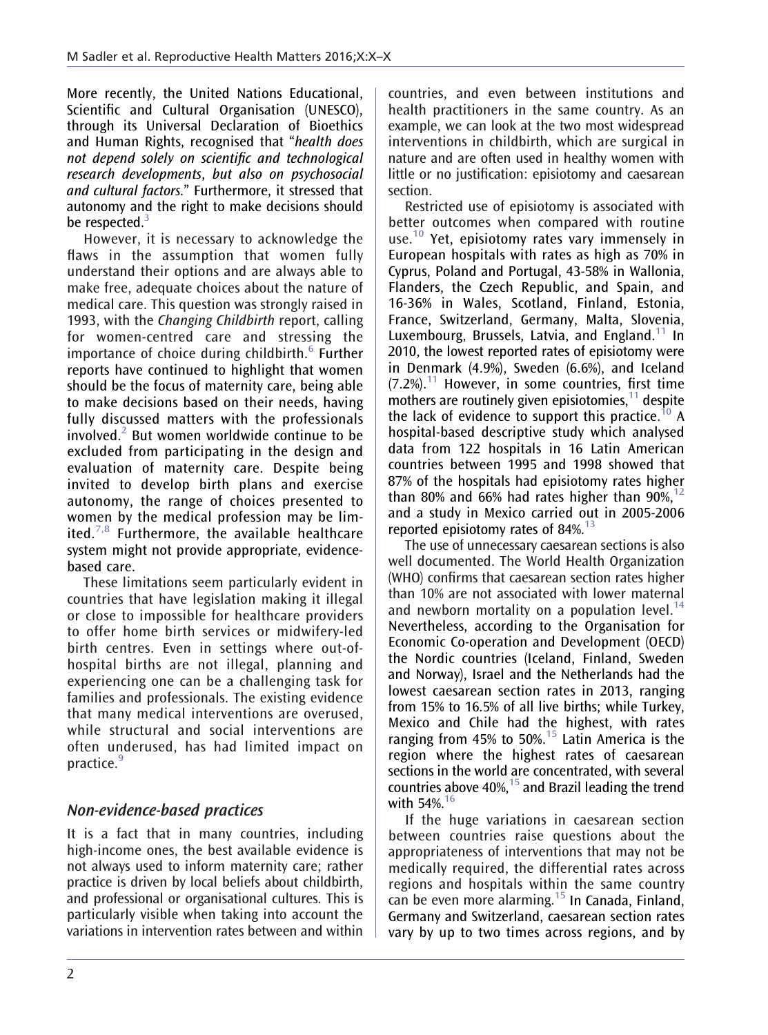More recently, the United Nations Educational, Scientific and Cultural Organisation (UNESCO), through its Universal Declaration of Bioethics and Human Rights, recognised that "health does not depend solely on scientific and technological research developments, but also on psychosocial and cultural factors." Furthermore, it stressed that autonomy and the right to make decisions should be respected. $3$ 

However, it is necessary to acknowledge the flaws in the assumption that women fully understand their options and are always able to make free, adequate choices about the nature of medical care. This question was strongly raised in 1993, with the Changing Childbirth report, calling for women-centred care and stressing the importance of choice during childbirth. $6$  Further reports have continued to highlight that women should be the focus of maternity care, being able to make decisions based on their needs, having fully discussed matters with the professionals involved. $2$  But women worldwide continue to be excluded from participating in the design and evaluation of maternity care. Despite being invited to develop birth plans and exercise autonomy, the range of choices presented to women by the medical profession may be limited. $7,8$  Furthermore, the available healthcare system might not provide appropriate, evidencebased care.

These limitations seem particularly evident in countries that have legislation making it illegal or close to impossible for healthcare providers to offer home birth services or midwifery-led birth centres. Even in settings where out-ofhospital births are not illegal, planning and experiencing one can be a challenging task for families and professionals. The existing evidence that many medical interventions are overused, while structural and social interventions are often underused, has had limited impact on practice.<sup>[9](#page-6-0)</sup>

## Non-evidence-based practices

It is a fact that in many countries, including high-income ones, the best available evidence is not always used to inform maternity care; rather practice is driven by local beliefs about childbirth, and professional or organisational cultures. This is particularly visible when taking into account the variations in intervention rates between and within

countries, and even between institutions and health practitioners in the same country. As an example, we can look at the two most widespread interventions in childbirth, which are surgical in nature and are often used in healthy women with little or no justification: episiotomy and caesarean section.

Restricted use of episiotomy is associated with better outcomes when compared with routine use.[10](#page-6-0) Yet, episiotomy rates vary immensely in European hospitals with rates as high as 70% in Cyprus, Poland and Portugal, 43-58% in Wallonia, Flanders, the Czech Republic, and Spain, and 16-36% in Wales, Scotland, Finland, Estonia, France, Switzerland, Germany, Malta, Slovenia, Luxembourg, Brussels, Latvia, and England.<sup>[11](#page-6-0)</sup> In 2010, the lowest reported rates of episiotomy were in Denmark (4.9%), Sweden (6.6%), and Iceland  $(7.2\%)$ .<sup>[11](#page-6-0)</sup> However, in some countries, first time mothers are routinely given episiotomies,  $11$  despite the lack of evidence to support this practice.<sup>[10](#page-6-0)</sup> A hospital-based descriptive study which analysed data from 122 hospitals in 16 Latin American countries between 1995 and 1998 showed that 87% of the hospitals had episiotomy rates higher than 80% and 66% had rates higher than 90%.<sup>[12](#page-6-0)</sup> and a study in Mexico carried out in 2005-2006 reported episiotomy rates of  $84\%$ <sup>13</sup>

The use of unnecessary caesarean sections is also well documented. The World Health Organization (WHO) confirms that caesarean section rates higher than 10% are not associated with lower maternal and newborn mortality on a population level.<sup>[14](#page-6-0)</sup> Nevertheless, according to the Organisation for Economic Co-operation and Development (OECD) the Nordic countries (Iceland, Finland, Sweden and Norway), Israel and the Netherlands had the lowest caesarean section rates in 2013, ranging from 15% to 16.5% of all live births; while Turkey, Mexico and Chile had the highest, with rates ranging from 45% to 50%.<sup>[15](#page-6-0)</sup> Latin America is the region where the highest rates of caesarean sections in the world are concentrated, with several countries above 40%,<sup>[15](#page-6-0)</sup> and Brazil leading the trend with  $54\%$ <sup>[16](#page-6-0)</sup>

If the huge variations in caesarean section between countries raise questions about the appropriateness of interventions that may not be medically required, the differential rates across regions and hospitals within the same country can be even more alarming.<sup>[15](#page-6-0)</sup> In Canada, Finland, Germany and Switzerland, caesarean section rates vary by up to two times across regions, and by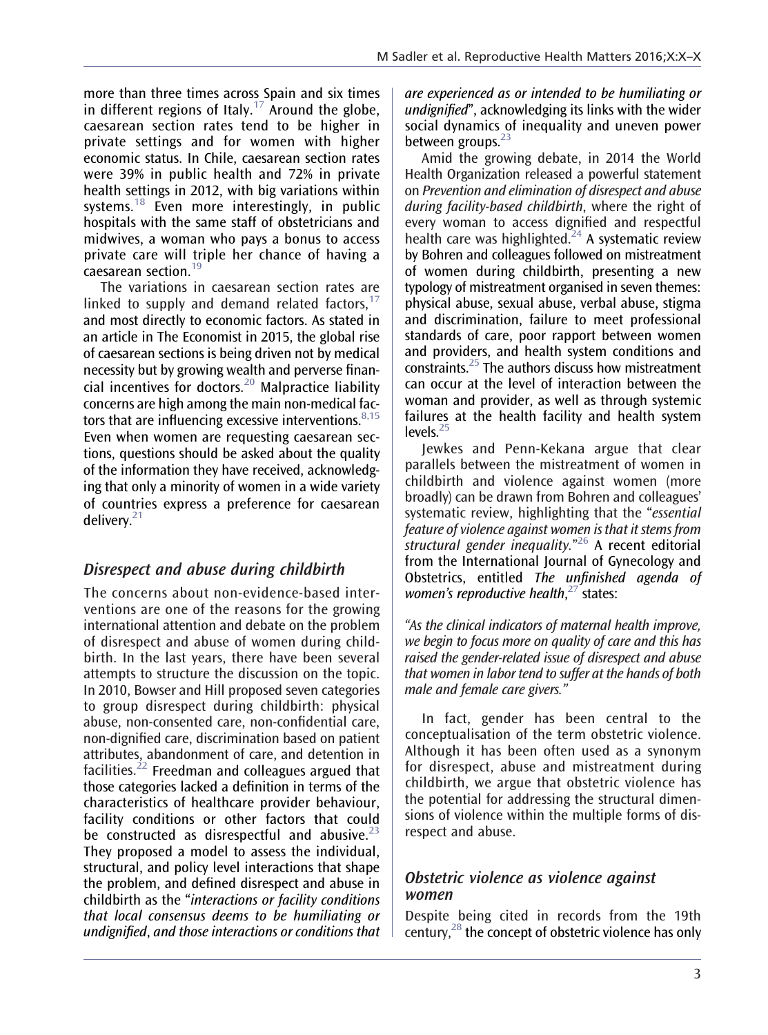more than three times across Spain and six times in different regions of Italy.<sup>[17](#page-6-0)</sup> Around the globe, caesarean section rates tend to be higher in private settings and for women with higher economic status. In Chile, caesarean section rates were 39% in public health and 72% in private health settings in 2012, with big variations within systems.[18](#page-6-0) Even more interestingly, in public hospitals with the same staff of obstetricians and midwives, a woman who pays a bonus to access private care will triple her chance of having a caesarean section.<sup>1</sup>

The variations in caesarean section rates are linked to supply and demand related factors,  $17$ and most directly to economic factors. As stated in an article in The Economist in 2015, the global rise of caesarean sections is being driven not by medical necessity but by growing wealth and perverse financial incentives for doctors.[20](#page-7-0) Malpractice liability concerns are high among the main non-medical factors that are influencing excessive interventions.  $8,15$ Even when women are requesting caesarean sections, questions should be asked about the quality of the information they have received, acknowledging that only a minority of women in a wide variety of countries express a preference for caesarean delivery. $21$ 

## Disrespect and abuse during childbirth

The concerns about non-evidence-based interventions are one of the reasons for the growing international attention and debate on the problem of disrespect and abuse of women during childbirth. In the last years, there have been several attempts to structure the discussion on the topic. In 2010, Bowser and Hill proposed seven categories to group disrespect during childbirth: physical abuse, non-consented care, non-confidential care, non-dignified care, discrimination based on patient attributes, abandonment of care, and detention in facilities. $22$  Freedman and colleagues argued that those categories lacked a definition in terms of the characteristics of healthcare provider behaviour, facility conditions or other factors that could be constructed as disrespectful and abusive. $^{23}$  $^{23}$  $^{23}$ They proposed a model to assess the individual, structural, and policy level interactions that shape the problem, and defined disrespect and abuse in childbirth as the "interactions or facility conditions that local consensus deems to be humiliating or undignified, and those interactions or conditions that

are experienced as or intended to be humiliating or undignified", acknowledging its links with the wider social dynamics of inequality and uneven power between groups. $^{23}$ 

Amid the growing debate, in 2014 the World Health Organization released a powerful statement on Prevention and elimination of disrespect and abuse during facility-based childbirth, where the right of every woman to access dignified and respectful health care was highlighted.<sup>24</sup> A systematic review by Bohren and colleagues followed on mistreatment of women during childbirth, presenting a new typology of mistreatment organised in seven themes: physical abuse, sexual abuse, verbal abuse, stigma and discrimination, failure to meet professional standards of care, poor rapport between women and providers, and health system conditions and constraints.[25](#page-7-0) The authors discuss how mistreatment can occur at the level of interaction between the woman and provider, as well as through systemic failures at the health facility and health system levels. $25$ 

Jewkes and Penn-Kekana argue that clear parallels between the mistreatment of women in childbirth and violence against women (more broadly) can be drawn from Bohren and colleagues' systematic review, highlighting that the "essential feature of violence against women is that it stems from structural gender inequality." [26](#page-7-0) A recent editorial from the International Journal of Gynecology and Obstetrics, entitled The unfinished agenda of women's reproductive health, $27$  states:

"As the clinical indicators of maternal health improve, we begin to focus more on quality of care and this has raised the gender-related issue of disrespect and abuse that women in labor tend to suffer at the hands of both male and female care givers."

In fact, gender has been central to the conceptualisation of the term obstetric violence. Although it has been often used as a synonym for disrespect, abuse and mistreatment during childbirth, we argue that obstetric violence has the potential for addressing the structural dimensions of violence within the multiple forms of disrespect and abuse.

#### Obstetric violence as violence against women

Despite being cited in records from the 19th century[,28](#page-7-0) the concept of obstetric violence has only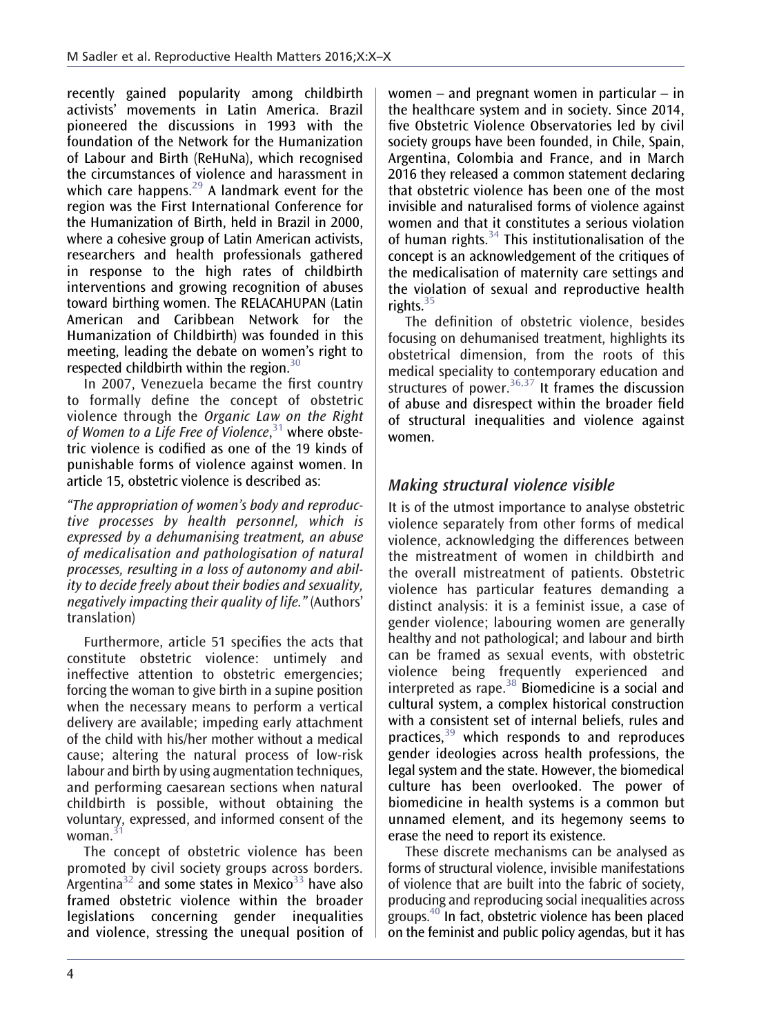recently gained popularity among childbirth activists' movements in Latin America. Brazil pioneered the discussions in 1993 with the foundation of the Network for the Humanization of Labour and Birth (ReHuNa), which recognised the circumstances of violence and harassment in which care happens.<sup>[29](#page-7-0)</sup> A landmark event for the region was the First International Conference for the Humanization of Birth, held in Brazil in 2000, where a cohesive group of Latin American activists, researchers and health professionals gathered in response to the high rates of childbirth interventions and growing recognition of abuses toward birthing women. The RELACAHUPAN (Latin American and Caribbean Network for the Humanization of Childbirth) was founded in this meeting, leading the debate on women's right to respected childbirth within the region.<sup>30</sup>

In 2007, Venezuela became the first country to formally define the concept of obstetric violence through the Organic Law on the Right of Women to a Life Free of Violence,<sup>[31](#page-7-0)</sup> where obstetric violence is codified as one of the 19 kinds of punishable forms of violence against women. In article 15, obstetric violence is described as:

"The appropriation of women's body and reproductive processes by health personnel, which is expressed by a dehumanising treatment, an abuse of medicalisation and pathologisation of natural processes, resulting in a loss of autonomy and ability to decide freely about their bodies and sexuality, negatively impacting their quality of life." (Authors' translation)

Furthermore, article 51 specifies the acts that constitute obstetric violence: untimely and ineffective attention to obstetric emergencies; forcing the woman to give birth in a supine position when the necessary means to perform a vertical delivery are available; impeding early attachment of the child with his/her mother without a medical cause; altering the natural process of low-risk labour and birth by using augmentation techniques, and performing caesarean sections when natural childbirth is possible, without obtaining the voluntary, expressed, and informed consent of the woman.<sup>3</sup>

The concept of obstetric violence has been promoted by civil society groups across borders. Argentina<sup>[32](#page-7-0)</sup> and some states in Mexico<sup>33</sup> have also framed obstetric violence within the broader legislations concerning gender inequalities and violence, stressing the unequal position of women – and pregnant women in particular – in the healthcare system and in society. Since 2014, five Obstetric Violence Observatories led by civil society groups have been founded, in Chile, Spain, Argentina, Colombia and France, and in March 2016 they released a common statement declaring that obstetric violence has been one of the most invisible and naturalised forms of violence against women and that it constitutes a serious violation of human rights. $34$  This institutionalisation of the concept is an acknowledgement of the critiques of the medicalisation of maternity care settings and the violation of sexual and reproductive health rights. $35$ 

The definition of obstetric violence, besides focusing on dehumanised treatment, highlights its obstetrical dimension, from the roots of this medical speciality to contemporary education and structures of power.  $36,37$  It frames the discussion of abuse and disrespect within the broader field of structural inequalities and violence against women.

# Making structural violence visible

It is of the utmost importance to analyse obstetric violence separately from other forms of medical violence, acknowledging the differences between the mistreatment of women in childbirth and the overall mistreatment of patients. Obstetric violence has particular features demanding a distinct analysis: it is a feminist issue, a case of gender violence; labouring women are generally healthy and not pathological; and labour and birth can be framed as sexual events, with obstetric violence being frequently experienced and interpreted as rape.[38](#page-7-0) Biomedicine is a social and cultural system, a complex historical construction with a consistent set of internal beliefs, rules and practices, $39$  which responds to and reproduces gender ideologies across health professions, the legal system and the state. However, the biomedical culture has been overlooked. The power of biomedicine in health systems is a common but unnamed element, and its hegemony seems to erase the need to report its existence.

These discrete mechanisms can be analysed as forms of structural violence, invisible manifestations of violence that are built into the fabric of society, producing and reproducing social inequalities across groups.<sup>40</sup> In fact, obstetric violence has been placed on the feminist and public policy agendas, but it has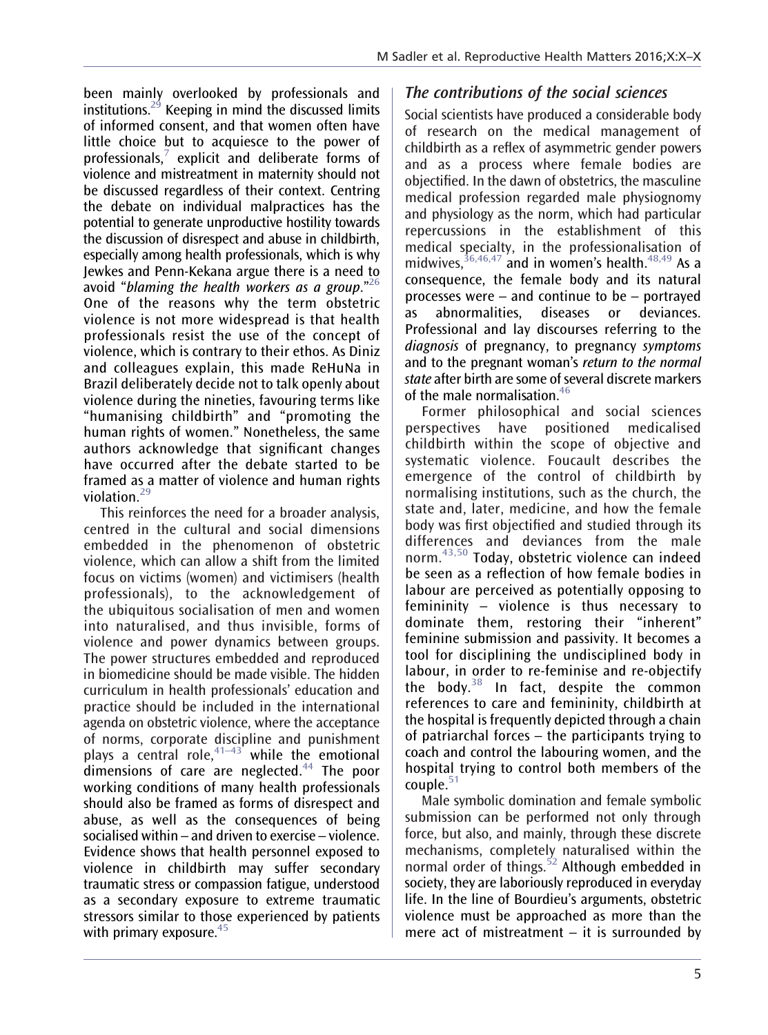been mainly overlooked by professionals and institutions.<sup>29</sup> Keeping in mind the discussed limits of informed consent, and that women often have little choice but to acquiesce to the power of professionals, $7$  explicit and deliberate forms of violence and mistreatment in maternity should not be discussed regardless of their context. Centring the debate on individual malpractices has the potential to generate unproductive hostility towards the discussion of disrespect and abuse in childbirth, especially among health professionals, which is why Jewkes and Penn-Kekana argue there is a need to avoid "blaming the health workers as a group."<sup>[26](#page-7-0)</sup> One of the reasons why the term obstetric violence is not more widespread is that health professionals resist the use of the concept of violence, which is contrary to their ethos. As Diniz and colleagues explain, this made ReHuNa in Brazil deliberately decide not to talk openly about violence during the nineties, favouring terms like "humanising childbirth" and "promoting the human rights of women." Nonetheless, the same authors acknowledge that significant changes have occurred after the debate started to be framed as a matter of violence and human rights violation. $29$ 

This reinforces the need for a broader analysis, centred in the cultural and social dimensions embedded in the phenomenon of obstetric violence, which can allow a shift from the limited focus on victims (women) and victimisers (health professionals), to the acknowledgement of the ubiquitous socialisation of men and women into naturalised, and thus invisible, forms of violence and power dynamics between groups. The power structures embedded and reproduced in biomedicine should be made visible. The hidden curriculum in health professionals' education and practice should be included in the international agenda on obstetric violence, where the acceptance of norms, corporate [discip](#page-7-0)line and punishment plays a central role,  $41-43$  while the emotional dimensions of care are neglected.<sup>[44](#page-8-0)</sup> The poor working conditions of many health professionals should also be framed as forms of disrespect and abuse, as well as the consequences of being socialised within – and driven to exercise – violence. Evidence shows that health personnel exposed to violence in childbirth may suffer secondary traumatic stress or compassion fatigue, understood as a secondary exposure to extreme traumatic stressors similar to those experienced by patients with primary exposure. $45$ 

## The contributions of the social sciences

Social scientists have produced a considerable body of research on the medical management of childbirth as a reflex of asymmetric gender powers and as a process where female bodies are objectified. In the dawn of obstetrics, the masculine medical profession regarded male physiognomy and physiology as the norm, which had particular repercussions in the establishment of this medical specialty, in the professionalisation of midwives,  $36,46,47$  and in women's health.  $48,49$  As a consequence, the female body and its natural processes were – and continue to be – portrayed as abnormalities, diseases or deviances. Professional and lay discourses referring to the diagnosis of pregnancy, to pregnancy symptoms and to the pregnant woman's return to the normal state after birth are some of several discrete markers of the male normalisation[.46](#page-8-0)

Former philosophical and social sciences perspectives have positioned medicalised childbirth within the scope of objective and systematic violence. Foucault describes the emergence of the control of childbirth by normalising institutions, such as the church, the state and, later, medicine, and how the female body was first objectified and studied through its differences and deviances from the male norm.[43,50](#page-8-0) Today, obstetric violence can indeed be seen as a reflection of how female bodies in labour are perceived as potentially opposing to femininity – violence is thus necessary to dominate them, restoring their "inherent" feminine submission and passivity. It becomes a tool for disciplining the undisciplined body in labour, in order to re-feminise and re-objectify the body. $38$  In fact, despite the common references to care and femininity, childbirth at the hospital is frequently depicted through a chain of patriarchal forces – the participants trying to coach and control the labouring women, and the hospital trying to control both members of the couple. $5$ 

Male symbolic domination and female symbolic submission can be performed not only through force, but also, and mainly, through these discrete mechanisms, completely naturalised within the normal order of things. $52$  Although embedded in society, they are laboriously reproduced in everyday life. In the line of Bourdieu's arguments, obstetric violence must be approached as more than the mere act of mistreatment  $-$  it is surrounded by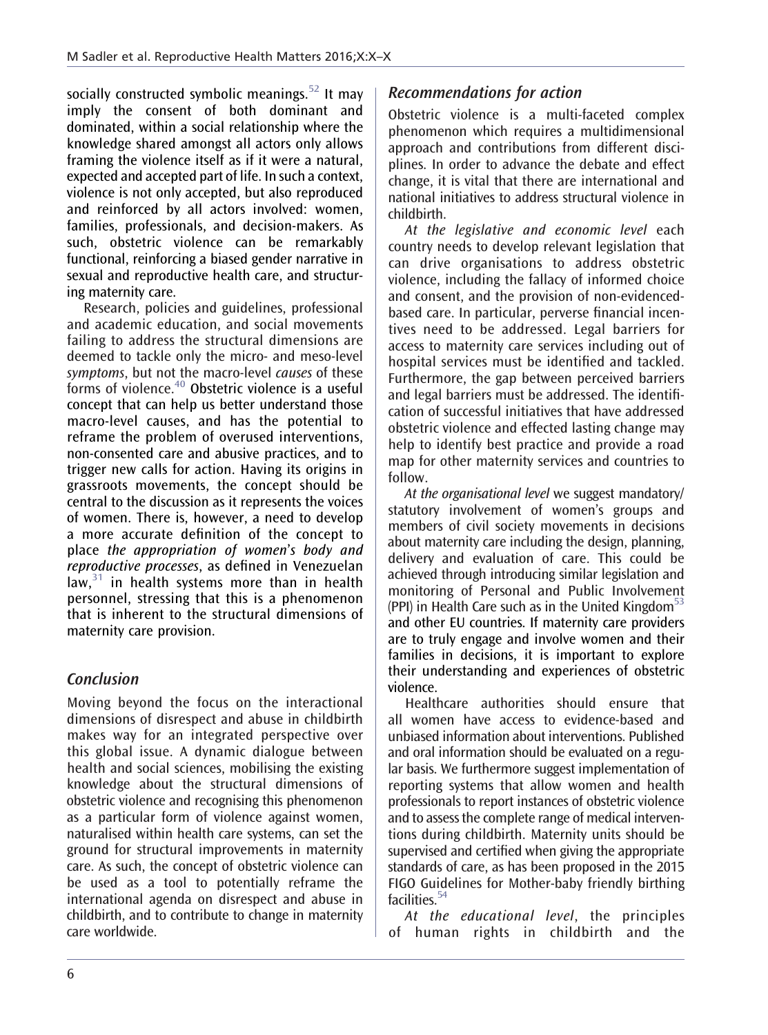socially constructed symbolic meanings. $52$  It may imply the consent of both dominant and dominated, within a social relationship where the knowledge shared amongst all actors only allows framing the violence itself as if it were a natural, expected and accepted part of life. In such a context, violence is not only accepted, but also reproduced and reinforced by all actors involved: women, families, professionals, and decision-makers. As such, obstetric violence can be remarkably functional, reinforcing a biased gender narrative in sexual and reproductive health care, and structuring maternity care.

Research, policies and guidelines, professional and academic education, and social movements failing to address the structural dimensions are deemed to tackle only the micro- and meso-level symptoms, but not the macro-level causes of these forms of violence.<sup>[40](#page-7-0)</sup> Obstetric violence is a useful concept that can help us better understand those macro-level causes, and has the potential to reframe the problem of overused interventions, non-consented care and abusive practices, and to trigger new calls for action. Having its origins in grassroots movements, the concept should be central to the discussion as it represents the voices of women. There is, however, a need to develop a more accurate definition of the concept to place the appropriation of women's body and reproductive processes, as defined in Venezuelan  $law<sub>1</sub><sup>31</sup>$  $law<sub>1</sub><sup>31</sup>$  $law<sub>1</sub><sup>31</sup>$  in health systems more than in health personnel, stressing that this is a phenomenon that is inherent to the structural dimensions of maternity care provision.

## Conclusion

Moving beyond the focus on the interactional dimensions of disrespect and abuse in childbirth makes way for an integrated perspective over this global issue. A dynamic dialogue between health and social sciences, mobilising the existing knowledge about the structural dimensions of obstetric violence and recognising this phenomenon as a particular form of violence against women, naturalised within health care systems, can set the ground for structural improvements in maternity care. As such, the concept of obstetric violence can be used as a tool to potentially reframe the international agenda on disrespect and abuse in childbirth, and to contribute to change in maternity care worldwide.

# Recommendations for action

Obstetric violence is a multi-faceted complex phenomenon which requires a multidimensional approach and contributions from different disciplines. In order to advance the debate and effect change, it is vital that there are international and national initiatives to address structural violence in childbirth.

At the legislative and economic level each country needs to develop relevant legislation that can drive organisations to address obstetric violence, including the fallacy of informed choice and consent, and the provision of non-evidencedbased care. In particular, perverse financial incentives need to be addressed. Legal barriers for access to maternity care services including out of hospital services must be identified and tackled. Furthermore, the gap between perceived barriers and legal barriers must be addressed. The identification of successful initiatives that have addressed obstetric violence and effected lasting change may help to identify best practice and provide a road map for other maternity services and countries to follow.

At the organisational level we suggest mandatory/ statutory involvement of women's groups and members of civil society movements in decisions about maternity care including the design, planning, delivery and evaluation of care. This could be achieved through introducing similar legislation and monitoring of Personal and Public Involvement (PPI) in Health Care such as in the United Kingdom<sup>[53](#page-8-0)</sup> and other EU countries. If maternity care providers are to truly engage and involve women and their families in decisions, it is important to explore their understanding and experiences of obstetric violence.

Healthcare authorities should ensure that all women have access to evidence-based and unbiased information about interventions. Published and oral information should be evaluated on a regular basis. We furthermore suggest implementation of reporting systems that allow women and health professionals to report instances of obstetric violence and to assess the complete range of medical interventions during childbirth. Maternity units should be supervised and certified when giving the appropriate standards of care, as has been proposed in the 2015 FIGO Guidelines for Mother-baby friendly birthing facilities.<sup>54</sup>

At the educational level, the principles of human rights in childbirth and the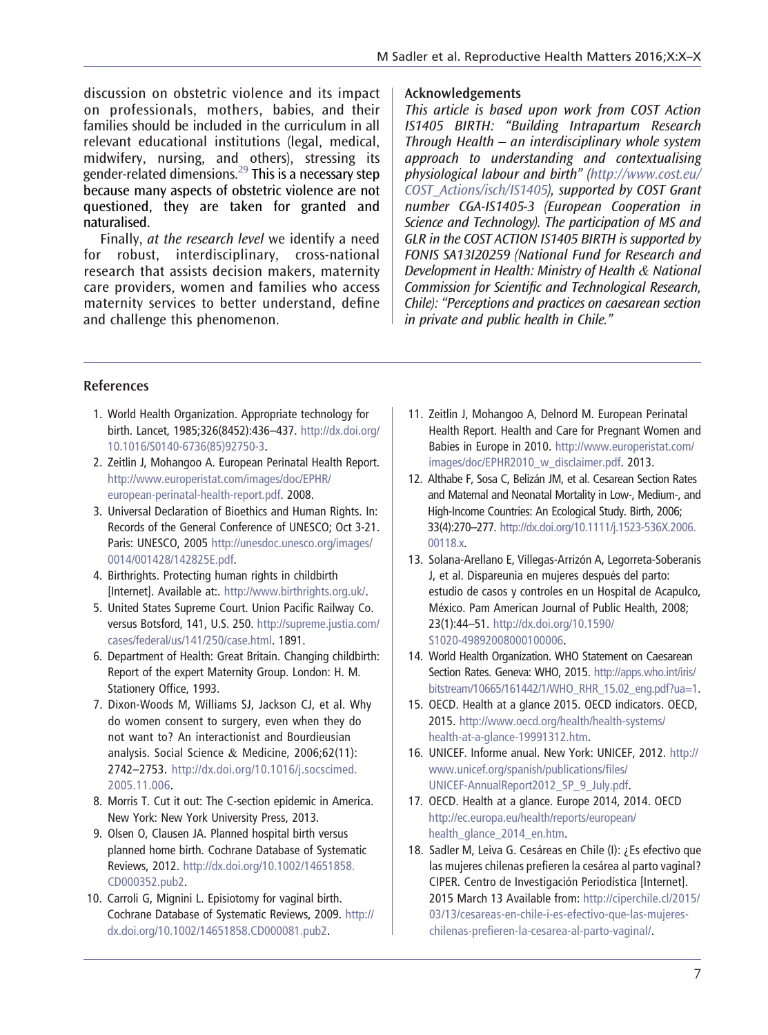<span id="page-6-0"></span>discussion on obstetric violence and its impact on professionals, mothers, babies, and their families should be included in the curriculum in all relevant educational institutions (legal, medical, midwifery, nursing, and others), stressing its gender-related dimensions.[29](#page-7-0) This is a necessary step because many aspects of obstetric violence are not questioned, they are taken for granted and naturalised.

Finally, at the research level we identify a need for robust, interdisciplinary, cross-national research that assists decision makers, maternity care providers, women and families who access maternity services to better understand, define and challenge this phenomenon.

#### Acknowledgements

This article is based upon work from COST Action IS1405 BIRTH: "Building Intrapartum Research Through Health – an interdisciplinary whole system approach to understanding and contextualising physiological labour and birth" ([http://www.cost.eu/](http://www.cost.eu/COST_Actions/isch/IS1405) [COST\\_Actions/isch/IS1405\)](http://www.cost.eu/COST_Actions/isch/IS1405), supported by COST Grant number CGA-IS1405-3 (European Cooperation in Science and Technology). The participation of MS and GLR in the COST ACTION IS1405 BIRTH is supported by FONIS SA13I20259 (National Fund for Research and Development in Health: Ministry of Health & National Commission for Scientific and Technological Research, Chile): "Perceptions and practices on caesarean section in private and public health in Chile."

#### References

- 1. World Health Organization. Appropriate technology for birth. Lancet, 1985;326(8452):436–437. http://dx.doi.org/ 10.1016/S0140-6736(85)92750-3.
- 2. Zeitlin J, Mohangoo A. European Perinatal Health Report. [http://www.europeristat.com/images/doc/EPHR/](http://www.europeristat.com/images/doc/EPHR/european-perinatal-health-report.pdf) [european-perinatal-health-report.pdf.](http://www.europeristat.com/images/doc/EPHR/european-perinatal-health-report.pdf) 2008.
- 3. Universal Declaration of Bioethics and Human Rights. In: Records of the General Conference of UNESCO; Oct 3-21. Paris: UNESCO, 2005 [http://unesdoc.unesco.org/images/](http://unesdoc.unesco.org/images/0014/001428/142825E.pdf) [0014/001428/142825E.pdf.](http://unesdoc.unesco.org/images/0014/001428/142825E.pdf)
- 4. Birthrights. Protecting human rights in childbirth [Internet]. Available at:. <http://www.birthrights.org.uk/>.
- 5. United States Supreme Court. Union Pacific Railway Co. versus Botsford, 141, U.S. 250. [http://supreme.justia.com/](http://supreme.justia.com/cases/federal/us/141/250/case.html) [cases/federal/us/141/250/case.html.](http://supreme.justia.com/cases/federal/us/141/250/case.html) 1891.
- 6. Department of Health: Great Britain. Changing childbirth: Report of the expert Maternity Group. London: H. M. Stationery Office, 1993.
- 7. Dixon-Woods M, Williams SJ, Jackson CJ, et al. Why do women consent to surgery, even when they do not want to? An interactionist and Bourdieusian analysis. Social Science & Medicine, 2006;62(11): 2742–2753. http://dx.doi.org/10.1016/j.socscimed. 2005.11.006.
- 8. Morris T. Cut it out: The C-section epidemic in America. New York: New York University Press, 2013.
- 9. Olsen O, Clausen JA. Planned hospital birth versus planned home birth. Cochrane Database of Systematic Reviews, 2012. http://dx.doi.org/10.1002/14651858. CD000352.pub2.
- 10. Carroli G, Mignini L. Episiotomy for vaginal birth. Cochrane Database of Systematic Reviews, 2009. http:// dx.doi.org/10.1002/14651858.CD000081.pub2.
- 11. Zeitlin J, Mohangoo A, Delnord M. European Perinatal Health Report. Health and Care for Pregnant Women and Babies in Europe in 2010. [http://www.europeristat.com/](http://www.europeristat.com/images/doc/EPHR2010_w_disclaimer.pdf) [images/doc/EPHR2010\\_w\\_disclaimer.pdf.](http://www.europeristat.com/images/doc/EPHR2010_w_disclaimer.pdf) 2013.
- 12. Althabe F, Sosa C, Belizán JM, et al. Cesarean Section Rates and Maternal and Neonatal Mortality in Low-, Medium-, and High-Income Countries: An Ecological Study. Birth, 2006; 33(4):270–277. http://dx.doi.org/10.1111/j.1523-536X.2006. 00118.x.
- 13. Solana-Arellano E, Villegas-Arrizón A, Legorreta-Soberanis J, et al. Dispareunia en mujeres después del parto: estudio de casos y controles en un Hospital de Acapulco, México. Pam American Journal of Public Health, 2008; 23(1):44–51. http://dx.doi.org/10.1590/ S1020-49892008000100006.
- 14. World Health Organization. WHO Statement on Caesarean Section Rates. Geneva: WHO, 2015. [http://apps.who.int/iris/](http://apps.who.int/iris/bitstream/10665/161442/1/WHO_RHR_15.02_eng.pdf?ua=1) [bitstream/10665/161442/1/WHO\\_RHR\\_15.02\\_eng.pdf?ua=1.](http://apps.who.int/iris/bitstream/10665/161442/1/WHO_RHR_15.02_eng.pdf?ua=1)
- 15. OECD. Health at a glance 2015. OECD indicators. OECD, 2015. [http://www.oecd.org/health/health-systems/](http://www.oecd.org/health/health-systems/health-at-a-glance-19991312.htm) [health-at-a-glance-19991312.htm](http://www.oecd.org/health/health-systems/health-at-a-glance-19991312.htm).
- 16. UNICEF. Informe anual. New York: UNICEF, 2012. [http://](http://www.unicef.org/spanish/publications/files/UNICEF-AnnualReport2012_SP_9_July.pdf) [www.unicef.org/spanish/publications/](http://www.unicef.org/spanish/publications/files/UNICEF-AnnualReport2012_SP_9_July.pdf)files/ [UNICEF-AnnualReport2012\\_SP\\_9\\_July.pdf.](http://www.unicef.org/spanish/publications/files/UNICEF-AnnualReport2012_SP_9_July.pdf)
- 17. OECD. Health at a glance. Europe 2014, 2014. OECD [http://ec.europa.eu/health/reports/european/](http://ec.europa.eu/health/reports/european/health_glance_2014_en.htm) [health\\_glance\\_2014\\_en.htm](http://ec.europa.eu/health/reports/european/health_glance_2014_en.htm).
- 18. Sadler M, Leiva G. Cesáreas en Chile (I): ¿Es efectivo que las mujeres chilenas prefieren la cesárea al parto vaginal? CIPER. Centro de Investigación Periodística [Internet]. 2015 March 13 Available from: [http://ciperchile.cl/2015/](http://ciperchile.cl/2015/03/13/cesareas-en-chile-i-es-efectivo-que-las-mujeres-chilenas-prefieren-la-cesarea-al-parto-vaginal/) [03/13/cesareas-en-chile-i-es-efectivo-que-las-mujeres](http://ciperchile.cl/2015/03/13/cesareas-en-chile-i-es-efectivo-que-las-mujeres-chilenas-prefieren-la-cesarea-al-parto-vaginal/)chilenas-prefi[eren-la-cesarea-al-parto-vaginal/](http://ciperchile.cl/2015/03/13/cesareas-en-chile-i-es-efectivo-que-las-mujeres-chilenas-prefieren-la-cesarea-al-parto-vaginal/).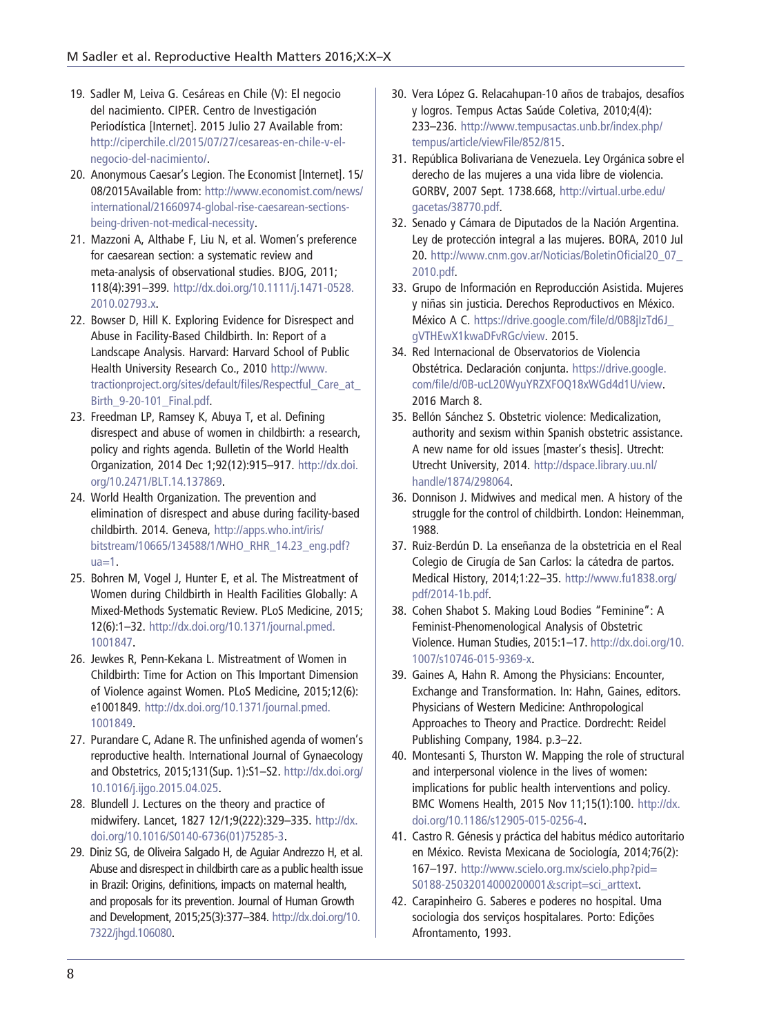- <span id="page-7-0"></span>19. Sadler M, Leiva G. Cesáreas en Chile (V): El negocio del nacimiento. CIPER. Centro de Investigación Periodística [Internet]. 2015 Julio 27 Available from: [http://ciperchile.cl/2015/07/27/cesareas-en-chile-v-el](http://ciperchile.cl/2015/07/27/cesareas-en-chile-v-el-negocio-del-nacimiento/)[negocio-del-nacimiento/](http://ciperchile.cl/2015/07/27/cesareas-en-chile-v-el-negocio-del-nacimiento/).
- 20. Anonymous Caesar's Legion. The Economist [Internet]. 15/ 08/2015Available from: [http://www.economist.com/news/](http://www.economist.com/news/international/21660974-global-rise-caesarean-sections-being-driven-not-medical-necessity) [international/21660974-global-rise-caesarean-sections](http://www.economist.com/news/international/21660974-global-rise-caesarean-sections-being-driven-not-medical-necessity)[being-driven-not-medical-necessity.](http://www.economist.com/news/international/21660974-global-rise-caesarean-sections-being-driven-not-medical-necessity)
- 21. Mazzoni A, Althabe F, Liu N, et al. Women's preference for caesarean section: a systematic review and meta-analysis of observational studies. BJOG, 2011; 118(4):391–399. http://dx.doi.org/10.1111/j.1471-0528. 2010.02793.x.
- 22. Bowser D, Hill K. Exploring Evidence for Disrespect and Abuse in Facility-Based Childbirth. In: Report of a Landscape Analysis. Harvard: Harvard School of Public Health University Research Co., 2010 [http://www.](http://www.tractionproject.org/sites/default/files/Respectful_Care_at_Birth_9-20-101_Final.pdf) [tractionproject.org/sites/default/](http://www.tractionproject.org/sites/default/files/Respectful_Care_at_Birth_9-20-101_Final.pdf)files/Respectful\_Care\_at\_ [Birth\\_9-20-101\\_Final.pdf](http://www.tractionproject.org/sites/default/files/Respectful_Care_at_Birth_9-20-101_Final.pdf).
- 23. Freedman LP, Ramsey K, Abuya T, et al. Defining disrespect and abuse of women in childbirth: a research, policy and rights agenda. Bulletin of the World Health Organization, 2014 Dec 1;92(12):915–917. http://dx.doi. org/10.2471/BLT.14.137869.
- 24. World Health Organization. The prevention and elimination of disrespect and abuse during facility-based childbirth. 2014. Geneva, [http://apps.who.int/iris/](http://apps.who.int/iris/bitstream/10665/134588/1/WHO_RHR_14.23_eng.pdf?ua=1) [bitstream/10665/134588/1/WHO\\_RHR\\_14.23\\_eng.pdf?](http://apps.who.int/iris/bitstream/10665/134588/1/WHO_RHR_14.23_eng.pdf?ua=1)  $ua=1$ .
- 25. Bohren M, Vogel J, Hunter E, et al. The Mistreatment of Women during Childbirth in Health Facilities Globally: A Mixed-Methods Systematic Review. PLoS Medicine, 2015; 12(6):1–32. http://dx.doi.org/10.1371/journal.pmed. 1001847.
- 26. Jewkes R, Penn-Kekana L. Mistreatment of Women in Childbirth: Time for Action on This Important Dimension of Violence against Women. PLoS Medicine, 2015;12(6): e1001849. http://dx.doi.org/10.1371/journal.pmed. 1001849.
- 27. Purandare C, Adane R. The unfinished agenda of women's reproductive health. International Journal of Gynaecology and Obstetrics, 2015;131(Sup. 1):S1–S2. http://dx.doi.org/ 10.1016/j.ijgo.2015.04.025.
- 28. Blundell J. Lectures on the theory and practice of midwifery. Lancet, 1827 12/1;9(222):329–335. http://dx. doi.org/10.1016/S0140-6736(01)75285-3.
- 29. Diniz SG, de Oliveira Salgado H, de Aguiar Andrezzo H, et al. Abuse and disrespect in childbirth care as a public health issue in Brazil: Origins, definitions, impacts on maternal health, and proposals for its prevention. Journal of Human Growth and Development, 2015;25(3):377–384. http://dx.doi.org/10. 7322/jhgd.106080.
- 30. Vera López G. Relacahupan-10 años de trabajos, desafíos y logros. Tempus Actas Saúde Coletiva, 2010;4(4): 233–236. [http://www.tempusactas.unb.br/index.php/](http://www.tempusactas.unb.br/index.php/tempus/article/viewFile/852/815) [tempus/article/viewFile/852/815](http://www.tempusactas.unb.br/index.php/tempus/article/viewFile/852/815).
- 31. República Bolivariana de Venezuela. Ley Orgánica sobre el derecho de las mujeres a una vida libre de violencia. GORBV, 2007 Sept. 1738.668, [http://virtual.urbe.edu/](http://virtual.urbe.edu/gacetas/38770.pdf) [gacetas/38770.pdf](http://virtual.urbe.edu/gacetas/38770.pdf).
- 32. Senado y Cámara de Diputados de la Nación Argentina. Ley de protección integral a las mujeres. BORA, 2010 Jul 20. [http://www.cnm.gov.ar/Noticias/BoletinO](http://www.cnm.gov.ar/Noticias/BoletinOficial20_07_2010.pdf)ficial20\_07\_ [2010.pdf.](http://www.cnm.gov.ar/Noticias/BoletinOficial20_07_2010.pdf)
- 33. Grupo de Información en Reproducción Asistida. Mujeres y niñas sin justicia. Derechos Reproductivos en México. México A C. [https://drive.google.com/](https://drive.google.com/file/d/0B8jIzTd6J_gVTHEwX1kwaDFvRGc/view)file/d/0B8jIzTd6J\_ [gVTHEwX1kwaDFvRGc/view](https://drive.google.com/file/d/0B8jIzTd6J_gVTHEwX1kwaDFvRGc/view). 2015.
- 34. Red Internacional de Observatorios de Violencia Obstétrica. Declaración conjunta. [https://drive.google.](https://drive.google.com/file/d/0B-ucL20WyuYRZXFOQ18xWGd4d1U/view) com/fi[le/d/0B-ucL20WyuYRZXFOQ18xWGd4d1U/view.](https://drive.google.com/file/d/0B-ucL20WyuYRZXFOQ18xWGd4d1U/view) 2016 March 8.
- 35. Bellón Sánchez S. Obstetric violence: Medicalization, authority and sexism within Spanish obstetric assistance. A new name for old issues [master's thesis]. Utrecht: Utrecht University, 2014. [http://dspace.library.uu.nl/](http://dspace.library.uu.nl/handle/1874/298064) [handle/1874/298064](http://dspace.library.uu.nl/handle/1874/298064).
- 36. Donnison J. Midwives and medical men. A history of the struggle for the control of childbirth. London: Heinemman, 1988.
- 37. Ruiz-Berdún D. La enseñanza de la obstetricia en el Real Colegio de Cirugía de San Carlos: la cátedra de partos. Medical History, 2014;1:22–35. [http://www.fu1838.org/](http://www.fu1838.org/pdf/2014-1b.pdf) [pdf/2014-1b.pdf.](http://www.fu1838.org/pdf/2014-1b.pdf)
- 38. Cohen Shabot S. Making Loud Bodies "Feminine": A Feminist-Phenomenological Analysis of Obstetric Violence. Human Studies, 2015:1–17. http://dx.doi.org/10. 1007/s10746-015-9369-x.
- 39. Gaines A, Hahn R. Among the Physicians: Encounter, Exchange and Transformation. In: Hahn, Gaines, editors. Physicians of Western Medicine: Anthropological Approaches to Theory and Practice. Dordrecht: Reidel Publishing Company, 1984. p.3–22.
- 40. Montesanti S, Thurston W. Mapping the role of structural and interpersonal violence in the lives of women: implications for public health interventions and policy. BMC Womens Health, 2015 Nov 11;15(1):100. http://dx. doi.org/10.1186/s12905-015-0256-4.
- 41. Castro R. Génesis y práctica del habitus médico autoritario en México. Revista Mexicana de Sociología, 2014;76(2): 167–197. [http://www.scielo.org.mx/scielo.php?pid=](http://www.scielo.org.mx/scielo.php?pid=S0188-25032014000200001&script=sci_arttext) [S0188-25032014000200001](http://www.scielo.org.mx/scielo.php?pid=S0188-25032014000200001&script=sci_arttext)&script=sci\_arttext.
- 42. Carapinheiro G. Saberes e poderes no hospital. Uma sociologia dos serviços hospitalares. Porto: Edições Afrontamento, 1993.